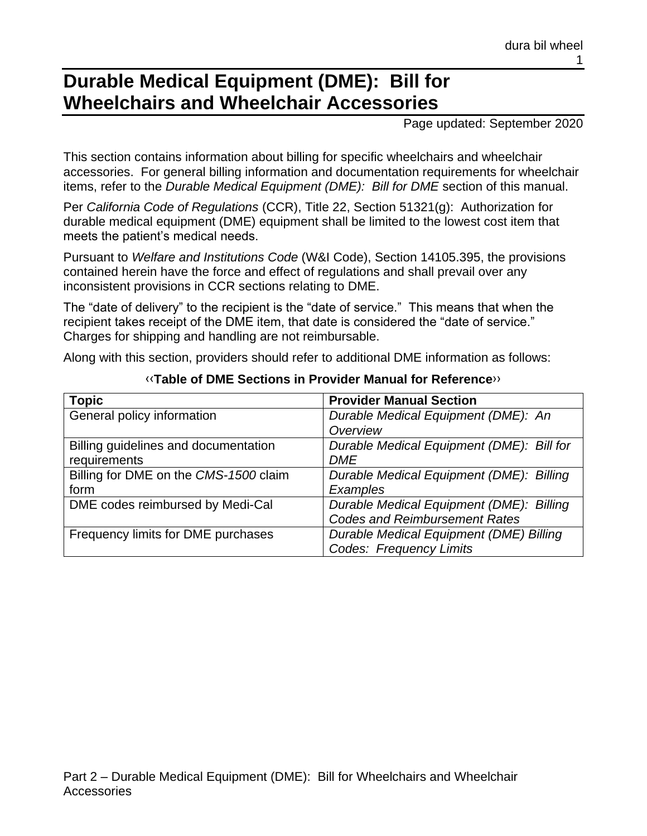# **Durable Medical Equipment (DME): Bill for Wheelchairs and Wheelchair Accessories**

Page updated: September 2020

This section contains information about billing for specific wheelchairs and wheelchair accessories. For general billing information and documentation requirements for wheelchair items, refer to the *Durable Medical Equipment (DME): Bill for DME* section of this manual.

Per *California Code of Regulations* (CCR), Title 22, Section 51321(g): Authorization for durable medical equipment (DME) equipment shall be limited to the lowest cost item that meets the patient's medical needs.

Pursuant to *Welfare and Institutions Code* (W&I Code), Section 14105.395, the provisions contained herein have the force and effect of regulations and shall prevail over any inconsistent provisions in CCR sections relating to DME.

The "date of delivery" to the recipient is the "date of service." This means that when the recipient takes receipt of the DME item, that date is considered the "date of service." Charges for shipping and handling are not reimbursable.

Along with this section, providers should refer to additional DME information as follows:

| <b>Topic</b>                          | <b>Provider Manual Section</b>            |
|---------------------------------------|-------------------------------------------|
| General policy information            | Durable Medical Equipment (DME): An       |
|                                       | Overview                                  |
| Billing guidelines and documentation  | Durable Medical Equipment (DME): Bill for |
| requirements                          | <b>DME</b>                                |
| Billing for DME on the CMS-1500 claim | Durable Medical Equipment (DME): Billing  |
| form                                  | Examples                                  |
| DME codes reimbursed by Medi-Cal      | Durable Medical Equipment (DME): Billing  |
|                                       | <b>Codes and Reimbursement Rates</b>      |
| Frequency limits for DME purchases    | Durable Medical Equipment (DME) Billing   |
|                                       | <b>Codes: Frequency Limits</b>            |

#### [‹‹](#page-16-0)**Table of DME Sections in Provider Manual for Reference**[››](#page-16-1)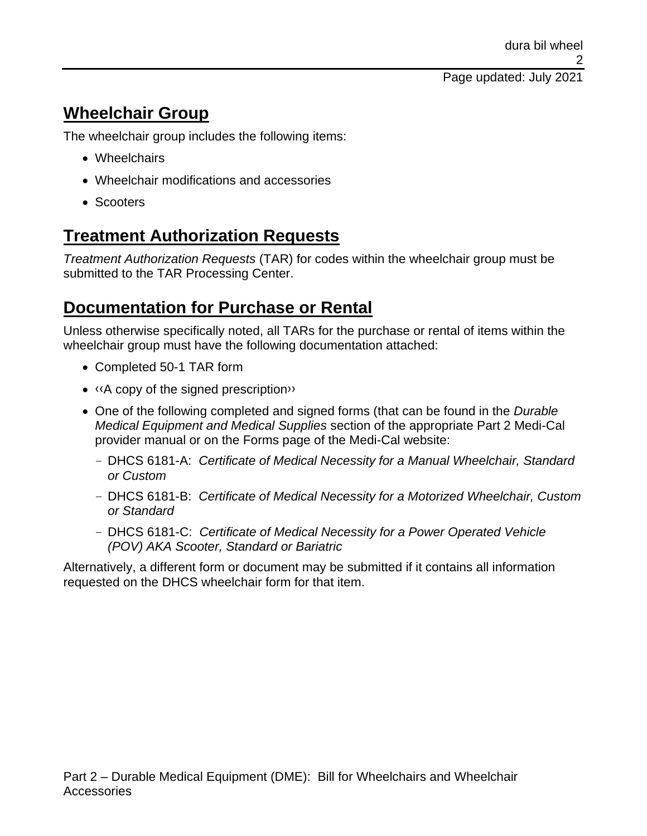# **Wheelchair Group**

The wheelchair group includes the following items:

- Wheelchairs
- Wheelchair modifications and accessories
- Scooters

# **Treatment Authorization Requests**

*Treatment Authorization Requests* (TAR) for codes within the wheelchair group must be submitted to the TAR Processing Center.

# **Documentation for Purchase or Rental**

Unless otherwise specifically noted, all TARs for the purchase or rental of items within the wheelchair group must have the following documentation attached:

- Completed 50-1 TAR form
- [‹‹A](#page-16-0) copy of the signed prescriptio[n››](#page-16-1)
- One of the following completed and signed forms (that can be found in the *Durable Medical Equipment and Medical Supplies* section of the appropriate Part 2 Medi-Cal provider manual or on the Forms page of the Medi-Cal website:
	- DHCS 6181-A: *Certificate of Medical Necessity for a Manual Wheelchair, Standard or Custom*
	- DHCS 6181-B: *Certificate of Medical Necessity for a Motorized Wheelchair, Custom or Standard*
	- DHCS 6181-C: *Certificate of Medical Necessity for a Power Operated Vehicle (POV) AKA Scooter, Standard or Bariatric*

Alternatively, a different form or document may be submitted if it contains all information requested on the DHCS wheelchair form for that item.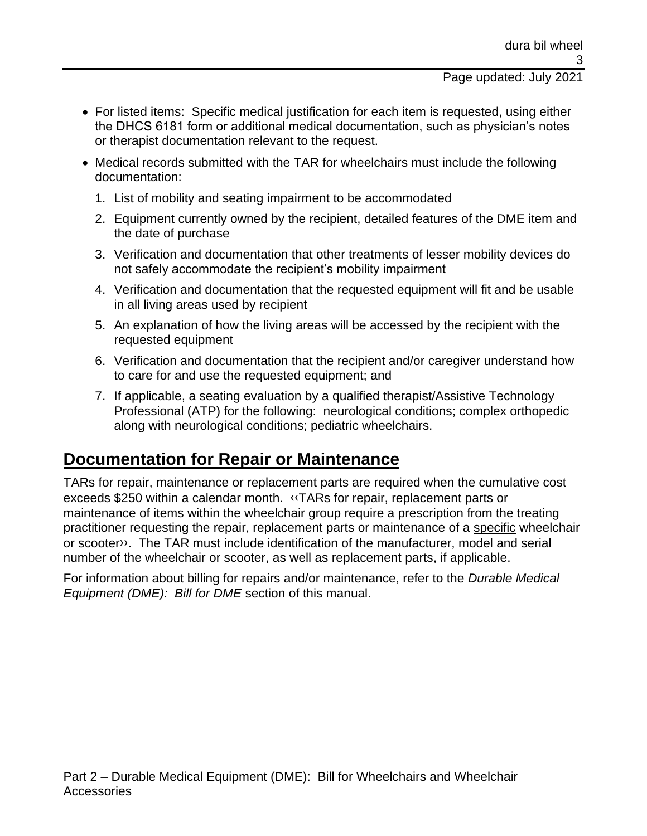#### Page updated: July 2021

- For listed items: Specific medical justification for each item is requested, using either the DHCS 6181 form or additional medical documentation, such as physician's notes or therapist documentation relevant to the request.
- Medical records submitted with the TAR for wheelchairs must include the following documentation:
	- 1. List of mobility and seating impairment to be accommodated
	- 2. Equipment currently owned by the recipient, detailed features of the DME item and the date of purchase
	- 3. Verification and documentation that other treatments of lesser mobility devices do not safely accommodate the recipient's mobility impairment
	- 4. Verification and documentation that the requested equipment will fit and be usable in all living areas used by recipient
	- 5. An explanation of how the living areas will be accessed by the recipient with the requested equipment
	- 6. Verification and documentation that the recipient and/or caregiver understand how to care for and use the requested equipment; and
	- 7. If applicable, a seating evaluation by a qualified therapist/Assistive Technology Professional (ATP) for the following: neurological conditions; complex orthopedic along with neurological conditions; pediatric wheelchairs.

### **Documentation for Repair or Maintenance**

TARs for repair, maintenance or replacement parts are required when the cumulative cost exceeds \$250 within a calendar month. [‹‹T](#page-16-0)ARs for repair, replacement parts or maintenance of items within the wheelchair group require a prescription from the treating practitioner requesting the repair, replacement parts or maintenance of a specific wheelchair or scoote[r››.](#page-16-1) The TAR must include identification of the manufacturer, model and serial number of the wheelchair or scooter, as well as replacement parts, if applicable.

For information about billing for repairs and/or maintenance, refer to the *Durable Medical Equipment (DME): Bill for DME* section of this manual.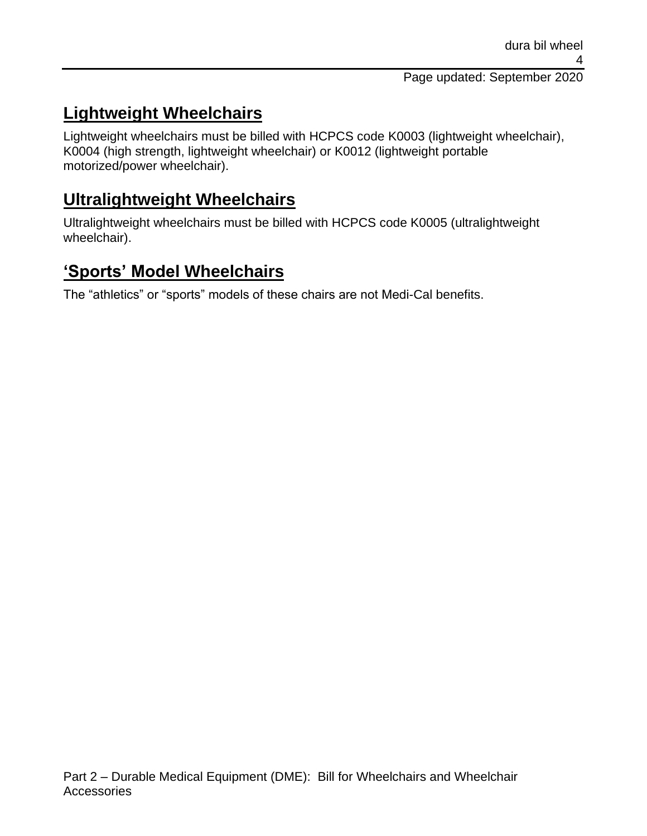# **Lightweight Wheelchairs**

Lightweight wheelchairs must be billed with HCPCS code K0003 (lightweight wheelchair), K0004 (high strength, lightweight wheelchair) or K0012 (lightweight portable motorized/power wheelchair).

## **Ultralightweight Wheelchairs**

Ultralightweight wheelchairs must be billed with HCPCS code K0005 (ultralightweight wheelchair).

# **'Sports' Model Wheelchairs**

The "athletics" or "sports" models of these chairs are not Medi-Cal benefits.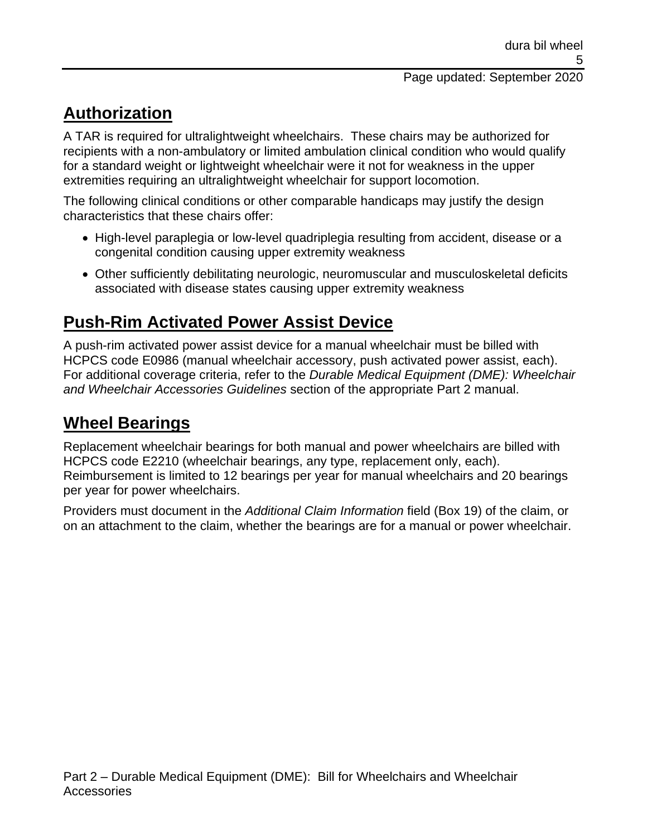# **Authorization**

A TAR is required for ultralightweight wheelchairs. These chairs may be authorized for recipients with a non-ambulatory or limited ambulation clinical condition who would qualify for a standard weight or lightweight wheelchair were it not for weakness in the upper extremities requiring an ultralightweight wheelchair for support locomotion.

The following clinical conditions or other comparable handicaps may justify the design characteristics that these chairs offer:

- High-level paraplegia or low-level quadriplegia resulting from accident, disease or a congenital condition causing upper extremity weakness
- Other sufficiently debilitating neurologic, neuromuscular and musculoskeletal deficits associated with disease states causing upper extremity weakness

# **Push-Rim Activated Power Assist Device**

A push-rim activated power assist device for a manual wheelchair must be billed with HCPCS code E0986 (manual wheelchair accessory, push activated power assist, each). For additional coverage criteria, refer to the *Durable Medical Equipment (DME): Wheelchair and Wheelchair Accessories Guidelines* section of the appropriate Part 2 manual.

# **Wheel Bearings**

Replacement wheelchair bearings for both manual and power wheelchairs are billed with HCPCS code E2210 (wheelchair bearings, any type, replacement only, each). Reimbursement is limited to 12 bearings per year for manual wheelchairs and 20 bearings per year for power wheelchairs.

Providers must document in the *Additional Claim Information* field (Box 19) of the claim, or on an attachment to the claim, whether the bearings are for a manual or power wheelchair.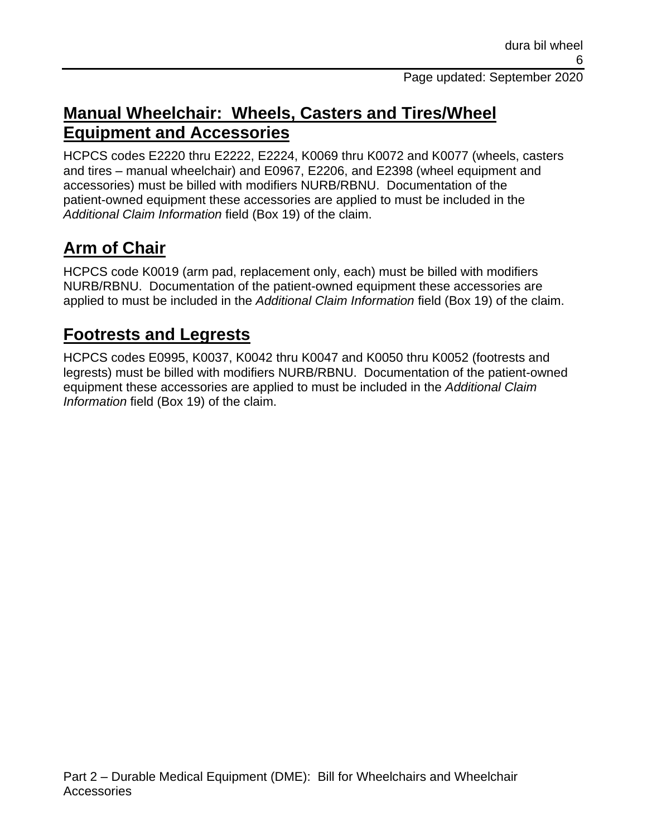## **Manual Wheelchair: Wheels, Casters and Tires/Wheel Equipment and Accessories**

HCPCS codes E2220 thru E2222, E2224, K0069 thru K0072 and K0077 (wheels, casters and tires – manual wheelchair) and E0967, E2206, and E2398 (wheel equipment and accessories) must be billed with modifiers NURB/RBNU. Documentation of the patient-owned equipment these accessories are applied to must be included in the *Additional Claim Information* field (Box 19) of the claim.

# **Arm of Chair**

HCPCS code K0019 (arm pad, replacement only, each) must be billed with modifiers NURB/RBNU. Documentation of the patient-owned equipment these accessories are applied to must be included in the *Additional Claim Information* field (Box 19) of the claim.

# **Footrests and Legrests**

HCPCS codes E0995, K0037, K0042 thru K0047 and K0050 thru K0052 (footrests and legrests) must be billed with modifiers NURB/RBNU. Documentation of the patient-owned equipment these accessories are applied to must be included in the *Additional Claim Information* field (Box 19) of the claim.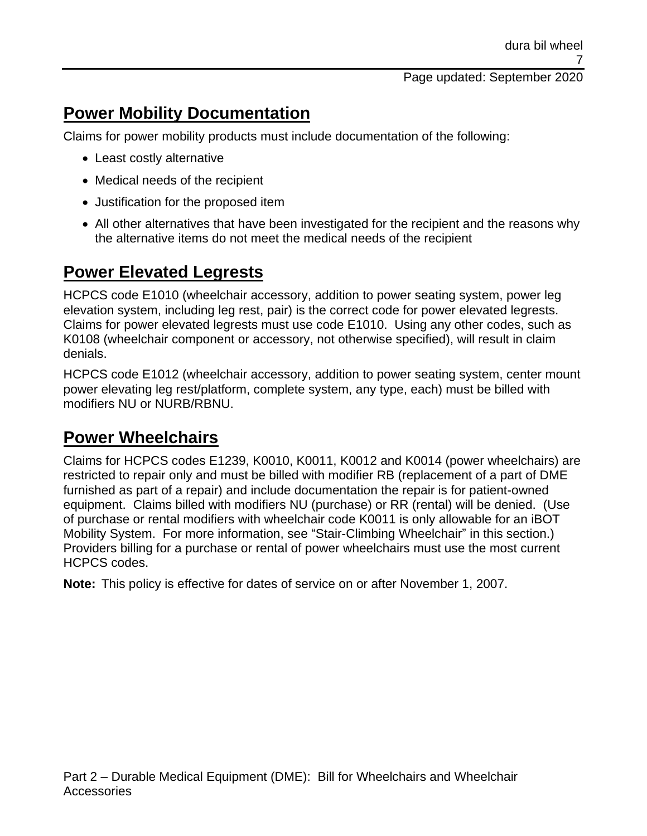## **Power Mobility Documentation**

Claims for power mobility products must include documentation of the following:

- Least costly alternative
- Medical needs of the recipient
- Justification for the proposed item
- All other alternatives that have been investigated for the recipient and the reasons why the alternative items do not meet the medical needs of the recipient

### **Power Elevated Legrests**

HCPCS code E1010 (wheelchair accessory, addition to power seating system, power leg elevation system, including leg rest, pair) is the correct code for power elevated legrests. Claims for power elevated legrests must use code E1010. Using any other codes, such as K0108 (wheelchair component or accessory, not otherwise specified), will result in claim denials.

HCPCS code E1012 (wheelchair accessory, addition to power seating system, center mount power elevating leg rest/platform, complete system, any type, each) must be billed with modifiers NU or NURB/RBNU.

### **Power Wheelchairs**

Claims for HCPCS codes E1239, K0010, K0011, K0012 and K0014 (power wheelchairs) are restricted to repair only and must be billed with modifier RB (replacement of a part of DME furnished as part of a repair) and include documentation the repair is for patient-owned equipment. Claims billed with modifiers NU (purchase) or RR (rental) will be denied. (Use of purchase or rental modifiers with wheelchair code K0011 is only allowable for an iBOT Mobility System. For more information, see "Stair-Climbing Wheelchair" in this section.) Providers billing for a purchase or rental of power wheelchairs must use the most current HCPCS codes.

**Note:** This policy is effective for dates of service on or after November 1, 2007.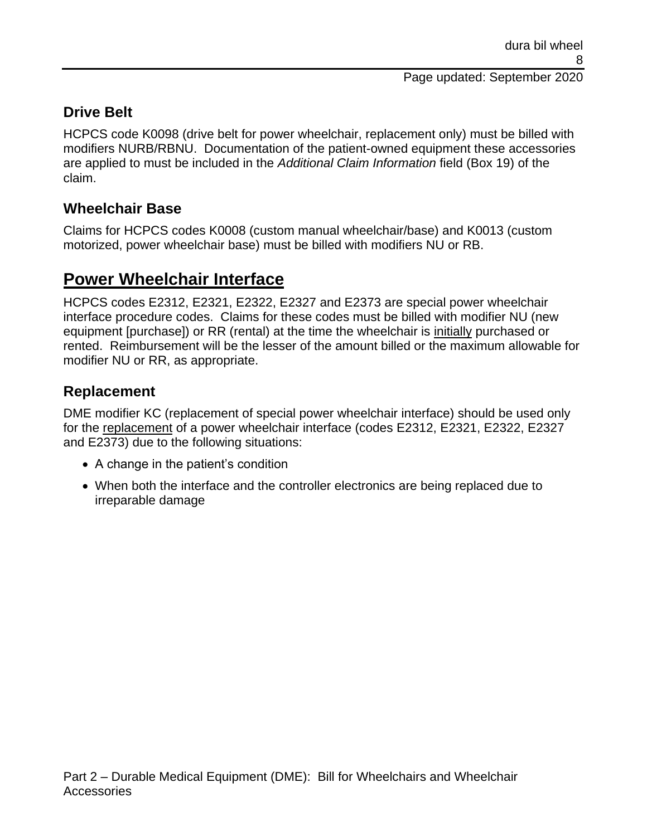### **Drive Belt**

HCPCS code K0098 (drive belt for power wheelchair, replacement only) must be billed with modifiers NURB/RBNU. Documentation of the patient-owned equipment these accessories are applied to must be included in the *Additional Claim Information* field (Box 19) of the claim.

#### **Wheelchair Base**

Claims for HCPCS codes K0008 (custom manual wheelchair/base) and K0013 (custom motorized, power wheelchair base) must be billed with modifiers NU or RB.

### **Power Wheelchair Interface**

HCPCS codes E2312, E2321, E2322, E2327 and E2373 are special power wheelchair interface procedure codes. Claims for these codes must be billed with modifier NU (new equipment [purchase]) or RR (rental) at the time the wheelchair is initially purchased or rented. Reimbursement will be the lesser of the amount billed or the maximum allowable for modifier NU or RR, as appropriate.

#### **Replacement**

DME modifier KC (replacement of special power wheelchair interface) should be used only for the replacement of a power wheelchair interface (codes E2312, E2321, E2322, E2327 and E2373) due to the following situations:

- A change in the patient's condition
- When both the interface and the controller electronics are being replaced due to irreparable damage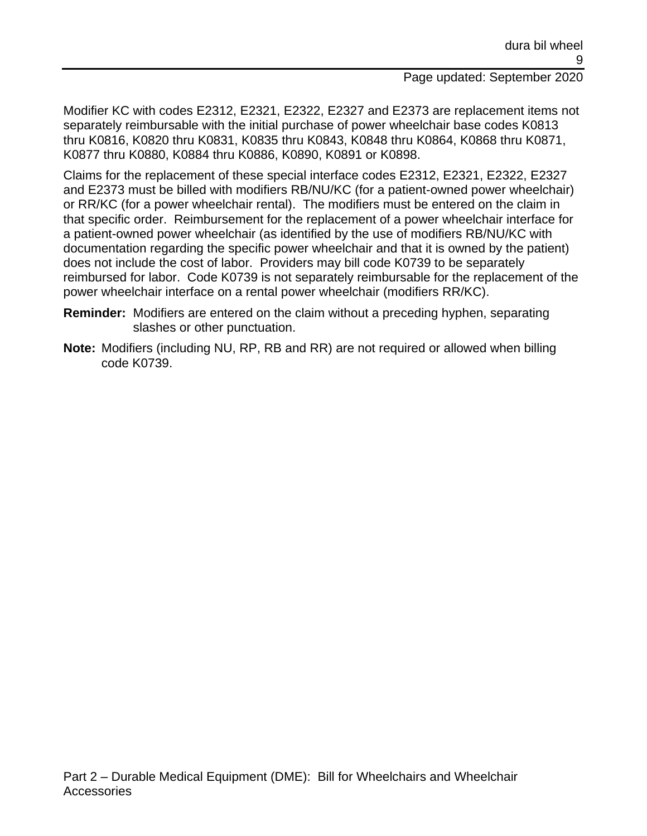Modifier KC with codes E2312, E2321, E2322, E2327 and E2373 are replacement items not separately reimbursable with the initial purchase of power wheelchair base codes K0813 thru K0816, K0820 thru K0831, K0835 thru K0843, K0848 thru K0864, K0868 thru K0871, K0877 thru K0880, K0884 thru K0886, K0890, K0891 or K0898.

Claims for the replacement of these special interface codes E2312, E2321, E2322, E2327 and E2373 must be billed with modifiers RB/NU/KC (for a patient-owned power wheelchair) or RR/KC (for a power wheelchair rental). The modifiers must be entered on the claim in that specific order. Reimbursement for the replacement of a power wheelchair interface for a patient-owned power wheelchair (as identified by the use of modifiers RB/NU/KC with documentation regarding the specific power wheelchair and that it is owned by the patient) does not include the cost of labor. Providers may bill code K0739 to be separately reimbursed for labor. Code K0739 is not separately reimbursable for the replacement of the power wheelchair interface on a rental power wheelchair (modifiers RR/KC).

- **Reminder:** Modifiers are entered on the claim without a preceding hyphen, separating slashes or other punctuation.
- **Note:** Modifiers (including NU, RP, RB and RR) are not required or allowed when billing code K0739.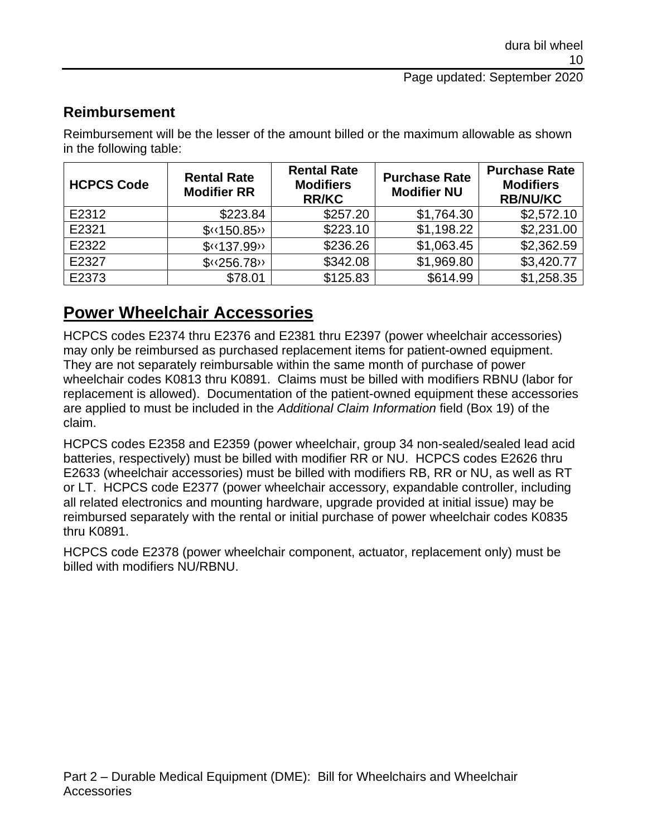#### **Reimbursement**

Reimbursement will be the lesser of the amount billed or the maximum allowable as shown in the following table:

| <b>HCPCS Code</b> | <b>Rental Rate</b><br><b>Modifier RR</b> | <b>Rental Rate</b><br><b>Modifiers</b><br><b>RR/KC</b> | <b>Purchase Rate</b><br><b>Modifier NU</b> | <b>Purchase Rate</b><br><b>Modifiers</b><br><b>RB/NU/KC</b> |
|-------------------|------------------------------------------|--------------------------------------------------------|--------------------------------------------|-------------------------------------------------------------|
| E2312             | \$223.84                                 | \$257.20                                               | \$1,764.30                                 | \$2,572.10                                                  |
| E2321             | $\sqrt{\phantom{0}}$ (150.85)            | \$223.10                                               | \$1,198.22                                 | \$2,231.00                                                  |
| E2322             | $$$ (137.99)                             | \$236.26                                               | \$1,063.45                                 | \$2,362.59                                                  |
| E2327             | $\sqrt{\frac{256.78}{}}$                 | \$342.08                                               | \$1,969.80                                 | \$3,420.77                                                  |
| E2373             | \$78.01                                  | \$125.83                                               | \$614.99                                   | \$1,258.35                                                  |

## **Power Wheelchair Accessories**

HCPCS codes E2374 thru E2376 and E2381 thru E2397 (power wheelchair accessories) may only be reimbursed as purchased replacement items for patient-owned equipment. They are not separately reimbursable within the same month of purchase of power wheelchair codes K0813 thru K0891. Claims must be billed with modifiers RBNU (labor for replacement is allowed). Documentation of the patient-owned equipment these accessories are applied to must be included in the *Additional Claim Information* field (Box 19) of the claim.

HCPCS codes E2358 and E2359 (power wheelchair, group 34 non-sealed/sealed lead acid batteries, respectively) must be billed with modifier RR or NU. HCPCS codes E2626 thru E2633 (wheelchair accessories) must be billed with modifiers RB, RR or NU, as well as RT or LT. HCPCS code E2377 (power wheelchair accessory, expandable controller, including all related electronics and mounting hardware, upgrade provided at initial issue) may be reimbursed separately with the rental or initial purchase of power wheelchair codes K0835 thru K0891.

HCPCS code E2378 (power wheelchair component, actuator, replacement only) must be billed with modifiers NU/RBNU.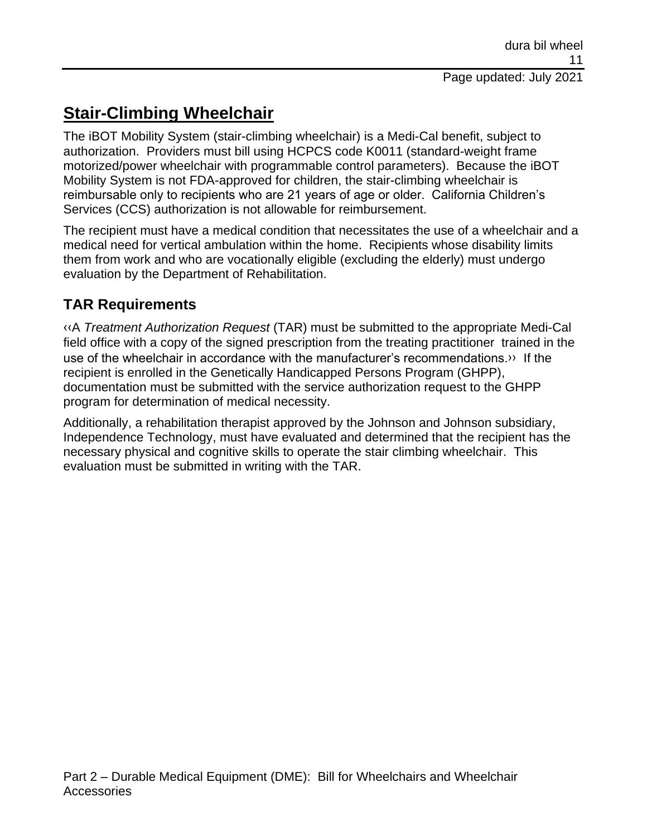# **Stair-Climbing Wheelchair**

The iBOT Mobility System (stair-climbing wheelchair) is a Medi-Cal benefit, subject to authorization. Providers must bill using HCPCS code K0011 (standard-weight frame motorized/power wheelchair with programmable control parameters). Because the iBOT Mobility System is not FDA-approved for children, the stair-climbing wheelchair is reimbursable only to recipients who are 21 years of age or older. California Children's Services (CCS) authorization is not allowable for reimbursement.

The recipient must have a medical condition that necessitates the use of a wheelchair and a medical need for vertical ambulation within the home. Recipients whose disability limits them from work and who are vocationally eligible (excluding the elderly) must undergo evaluation by the Department of Rehabilitation.

### **TAR Requirements**

[‹‹A](#page-16-0) *Treatment Authorization Request* (TAR) must be submitted to the appropriate Medi-Cal field office with a copy of the signed prescription from the treating practitioner trained in the use of the wheelchair in accordance with the manufacturer's recommendations[.››](#page-16-1) If the recipient is enrolled in the Genetically Handicapped Persons Program (GHPP), documentation must be submitted with the service authorization request to the GHPP program for determination of medical necessity.

Additionally, a rehabilitation therapist approved by the Johnson and Johnson subsidiary, Independence Technology, must have evaluated and determined that the recipient has the necessary physical and cognitive skills to operate the stair climbing wheelchair. This evaluation must be submitted in writing with the TAR.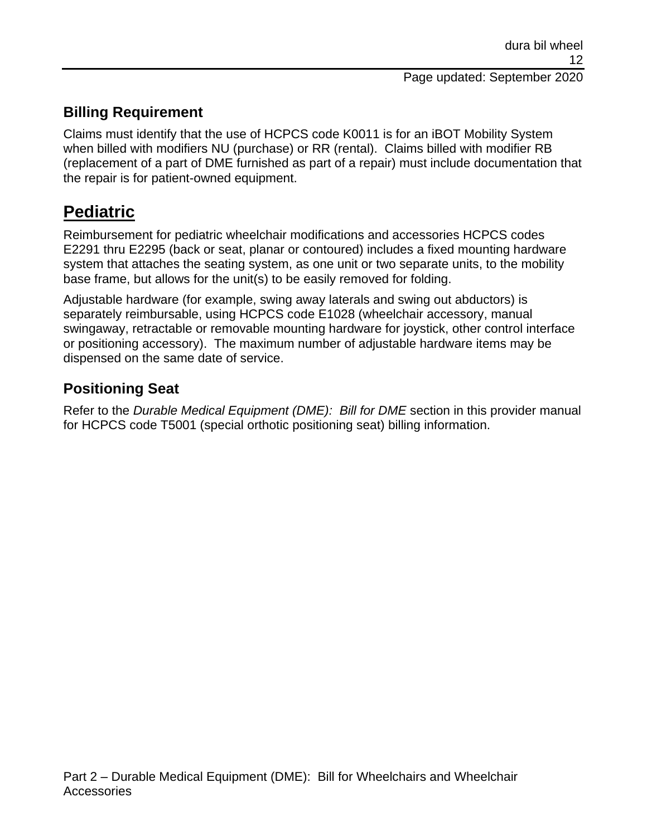### **Billing Requirement**

Claims must identify that the use of HCPCS code K0011 is for an iBOT Mobility System when billed with modifiers NU (purchase) or RR (rental). Claims billed with modifier RB (replacement of a part of DME furnished as part of a repair) must include documentation that the repair is for patient-owned equipment.

### **Pediatric**

Reimbursement for pediatric wheelchair modifications and accessories HCPCS codes E2291 thru E2295 (back or seat, planar or contoured) includes a fixed mounting hardware system that attaches the seating system, as one unit or two separate units, to the mobility base frame, but allows for the unit(s) to be easily removed for folding.

Adjustable hardware (for example, swing away laterals and swing out abductors) is separately reimbursable, using HCPCS code E1028 (wheelchair accessory, manual swingaway, retractable or removable mounting hardware for joystick, other control interface or positioning accessory). The maximum number of adjustable hardware items may be dispensed on the same date of service.

#### **Positioning Seat**

Refer to the *Durable Medical Equipment (DME): Bill for DME* section in this provider manual for HCPCS code T5001 (special orthotic positioning seat) billing information.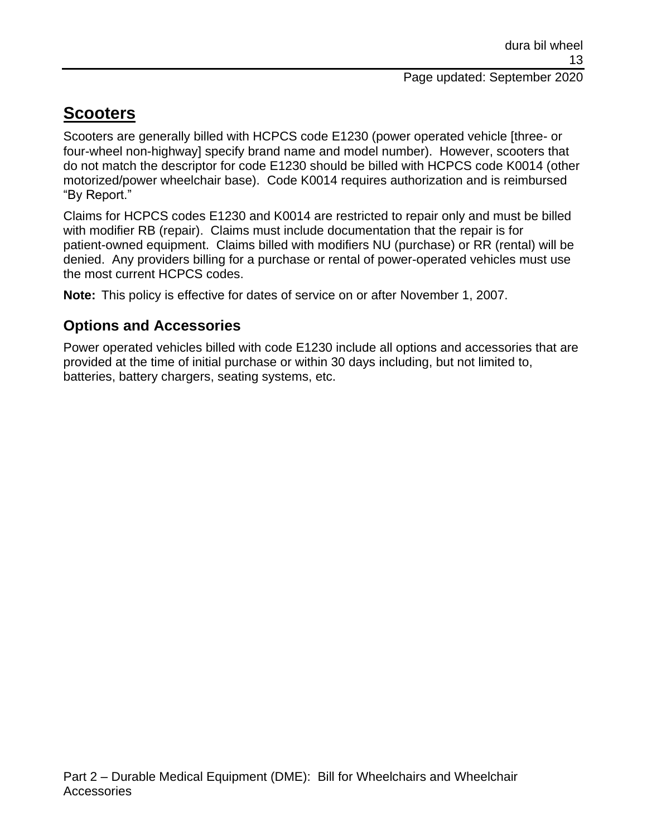# **Scooters**

Scooters are generally billed with HCPCS code E1230 (power operated vehicle [three- or four-wheel non-highway] specify brand name and model number). However, scooters that do not match the descriptor for code E1230 should be billed with HCPCS code K0014 (other motorized/power wheelchair base). Code K0014 requires authorization and is reimbursed "By Report."

Claims for HCPCS codes E1230 and K0014 are restricted to repair only and must be billed with modifier RB (repair). Claims must include documentation that the repair is for patient-owned equipment. Claims billed with modifiers NU (purchase) or RR (rental) will be denied. Any providers billing for a purchase or rental of power-operated vehicles must use the most current HCPCS codes.

**Note:** This policy is effective for dates of service on or after November 1, 2007.

### **Options and Accessories**

Power operated vehicles billed with code E1230 include all options and accessories that are provided at the time of initial purchase or within 30 days including, but not limited to, batteries, battery chargers, seating systems, etc.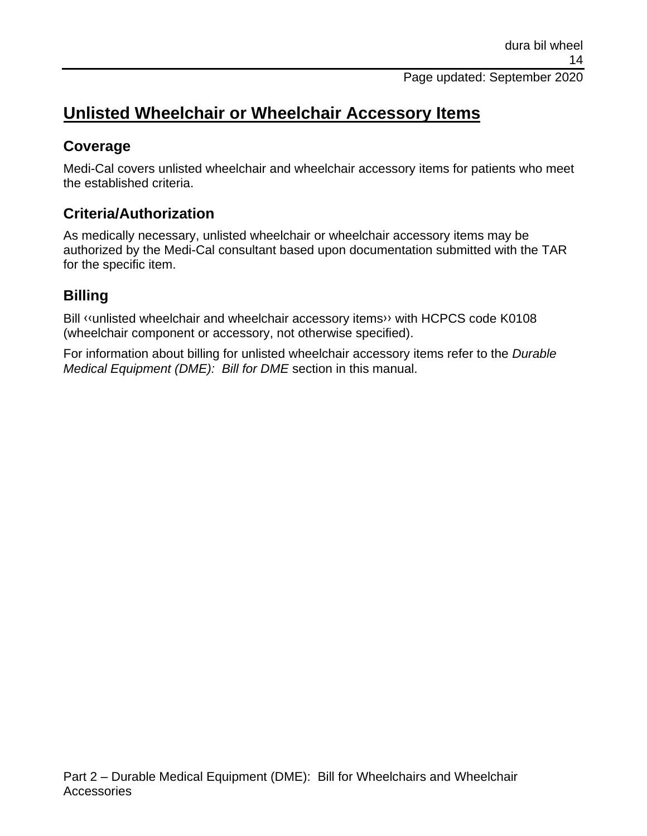# **Unlisted Wheelchair or Wheelchair Accessory Items**

#### **Coverage**

Medi-Cal covers unlisted wheelchair and wheelchair accessory items for patients who meet the established criteria.

### **Criteria/Authorization**

As medically necessary, unlisted wheelchair or wheelchair accessory items may be authorized by the Medi-Cal consultant based upon documentation submitted with the TAR for the specific item.

### **Billing**

Bill [‹‹u](#page-16-0)nlisted wheelchair and wheelchair accessory item[s››](#page-16-1) with HCPCS code K0108 (wheelchair component or accessory, not otherwise specified).

For information about billing for unlisted wheelchair accessory items refer to the *Durable Medical Equipment (DME): Bill for DME* section in this manual.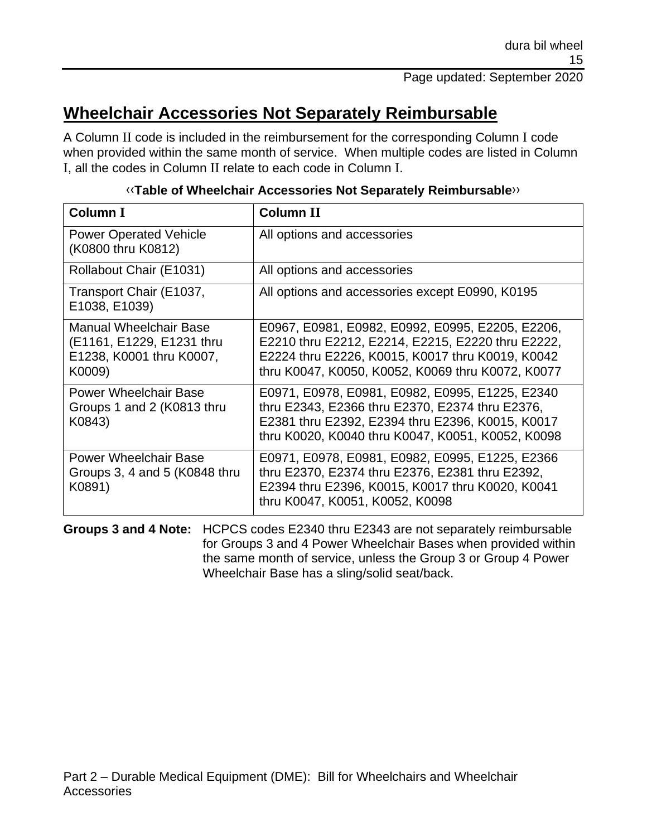# **Wheelchair Accessories Not Separately Reimbursable**

A Column II code is included in the reimbursement for the corresponding Column I code when provided within the same month of service. When multiple codes are listed in Column I, all the codes in Column II relate to each code in Column I.

| <b>Column I</b>                                                                           | <b>Column II</b>                                                                                                                                                                                               |
|-------------------------------------------------------------------------------------------|----------------------------------------------------------------------------------------------------------------------------------------------------------------------------------------------------------------|
| <b>Power Operated Vehicle</b><br>(K0800 thru K0812)                                       | All options and accessories                                                                                                                                                                                    |
| Rollabout Chair (E1031)                                                                   | All options and accessories                                                                                                                                                                                    |
| Transport Chair (E1037,<br>E1038, E1039)                                                  | All options and accessories except E0990, K0195                                                                                                                                                                |
| Manual Wheelchair Base<br>(E1161, E1229, E1231 thru<br>E1238, K0001 thru K0007,<br>K0009) | E0967, E0981, E0982, E0992, E0995, E2205, E2206,<br>E2210 thru E2212, E2214, E2215, E2220 thru E2222,<br>E2224 thru E2226, K0015, K0017 thru K0019, K0042<br>thru K0047, K0050, K0052, K0069 thru K0072, K0077 |
| <b>Power Wheelchair Base</b><br>Groups 1 and 2 (K0813 thru<br>K0843)                      | E0971, E0978, E0981, E0982, E0995, E1225, E2340<br>thru E2343, E2366 thru E2370, E2374 thru E2376,<br>E2381 thru E2392, E2394 thru E2396, K0015, K0017<br>thru K0020, K0040 thru K0047, K0051, K0052, K0098    |
| <b>Power Wheelchair Base</b><br>Groups 3, 4 and 5 (K0848 thru<br>K0891)                   | E0971, E0978, E0981, E0982, E0995, E1225, E2366<br>thru E2370, E2374 thru E2376, E2381 thru E2392,<br>E2394 thru E2396, K0015, K0017 thru K0020, K0041<br>thru K0047, K0051, K0052, K0098                      |

#### [‹‹](#page-16-0)**Table of Wheelchair Accessories Not Separately Reimbursable**[››](#page-16-1)

**Groups 3 and 4 Note:** HCPCS codes E2340 thru E2343 are not separately reimbursable for Groups 3 and 4 Power Wheelchair Bases when provided within the same month of service, unless the Group 3 or Group 4 Power Wheelchair Base has a sling/solid seat/back.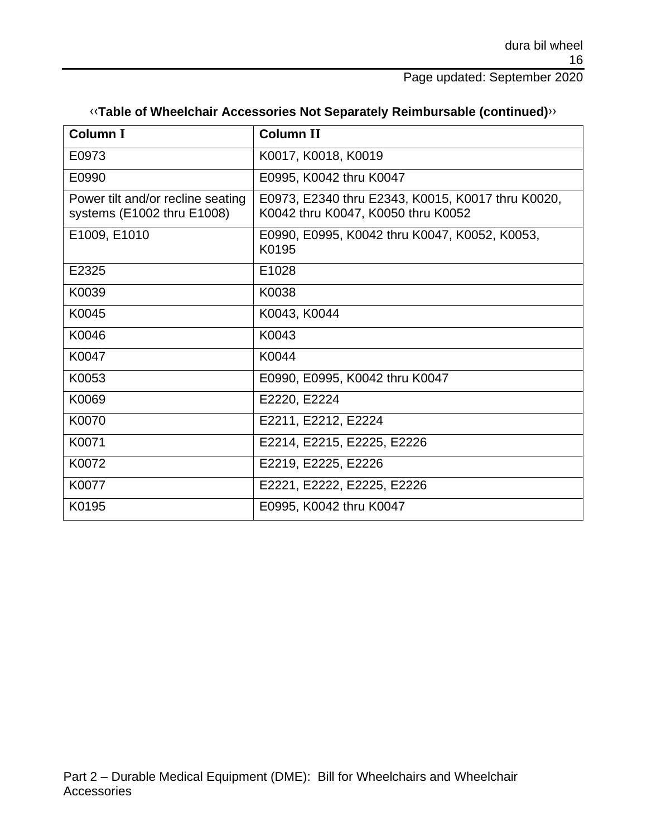| «Table of Wheelchair Accessories Not Separately Reimbursable (continued)» |  |  |  |  |
|---------------------------------------------------------------------------|--|--|--|--|
|---------------------------------------------------------------------------|--|--|--|--|

| <b>Column I</b>                                                 | <b>Column II</b>                                                                        |
|-----------------------------------------------------------------|-----------------------------------------------------------------------------------------|
| E0973                                                           | K0017, K0018, K0019                                                                     |
| E0990                                                           | E0995, K0042 thru K0047                                                                 |
| Power tilt and/or recline seating<br>systems (E1002 thru E1008) | E0973, E2340 thru E2343, K0015, K0017 thru K0020,<br>K0042 thru K0047, K0050 thru K0052 |
| E1009, E1010                                                    | E0990, E0995, K0042 thru K0047, K0052, K0053,<br>K0195                                  |
| E2325                                                           | E1028                                                                                   |
| K0039                                                           | K0038                                                                                   |
| K0045                                                           | K0043, K0044                                                                            |
| K0046                                                           | K0043                                                                                   |
| K0047                                                           | K0044                                                                                   |
| K0053                                                           | E0990, E0995, K0042 thru K0047                                                          |
| K0069                                                           | E2220, E2224                                                                            |
| K0070                                                           | E2211, E2212, E2224                                                                     |
| K0071                                                           | E2214, E2215, E2225, E2226                                                              |
| K0072                                                           | E2219, E2225, E2226                                                                     |
| K0077                                                           | E2221, E2222, E2225, E2226                                                              |
| K0195                                                           | E0995, K0042 thru K0047                                                                 |